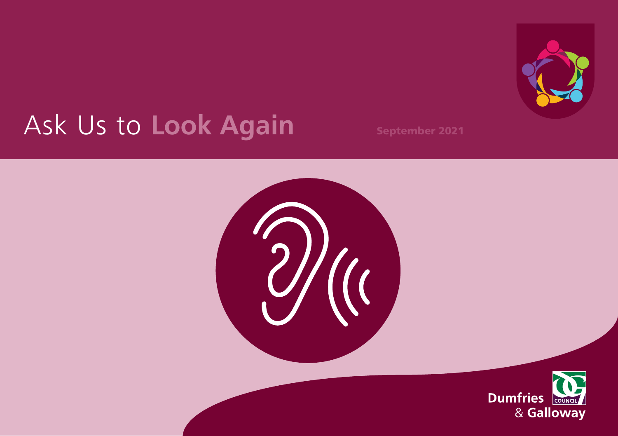

# Ask Us to **Look Again** September 2021



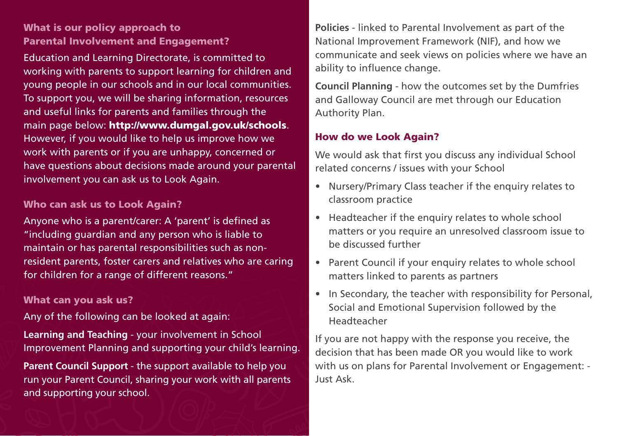## What is our policy approach to Parental Involvement and Engagement?

Education and Learning Directorate, is committed to working with parents to support learning for children and young people in our schools and in our local communities. To support you, we will be sharing information, resources and useful links for parents and families through the main page below: <http://www.dumgal.gov.uk/schools>. However, if you would like to help us improve how we work with parents or if you are unhappy, concerned or have questions about decisions made around your parental involvement you can ask us to Look Again.

#### Who can ask us to Look Again?

Anyone who is a parent/carer: A 'parent' is defined as "including guardian and any person who is liable to maintain or has parental responsibilities such as nonresident parents, foster carers and relatives who are caring for children for a range of different reasons."

#### What can you ask us?

Any of the following can be looked at again:

**Learning and Teaching** - your involvement in School Improvement Planning and supporting your child's learning.

**Parent Council Support** - the support available to help you run your Parent Council, sharing your work with all parents and supporting your school.

**Policies** - linked to Parental Involvement as part of the National Improvement Framework (NIF), and how we communicate and seek views on policies where we have an ability to influence change.

**Council Planning** - how the outcomes set by the Dumfries and Galloway Council are met through our Education Authority Plan.

### How do we Look Again?

We would ask that first you discuss any individual School related concerns / issues with your School

- Nursery/Primary Class teacher if the enquiry relates to classroom practice
- Headteacher if the enquiry relates to whole school matters or you require an unresolved classroom issue to be discussed further
- Parent Council if your enquiry relates to whole school matters linked to parents as partners
- In Secondary, the teacher with responsibility for Personal, Social and Emotional Supervision followed by the Headteacher

If you are not happy with the response you receive, the decision that has been made OR you would like to work with us on plans for Parental Involvement or Engagement: - Just Ask.